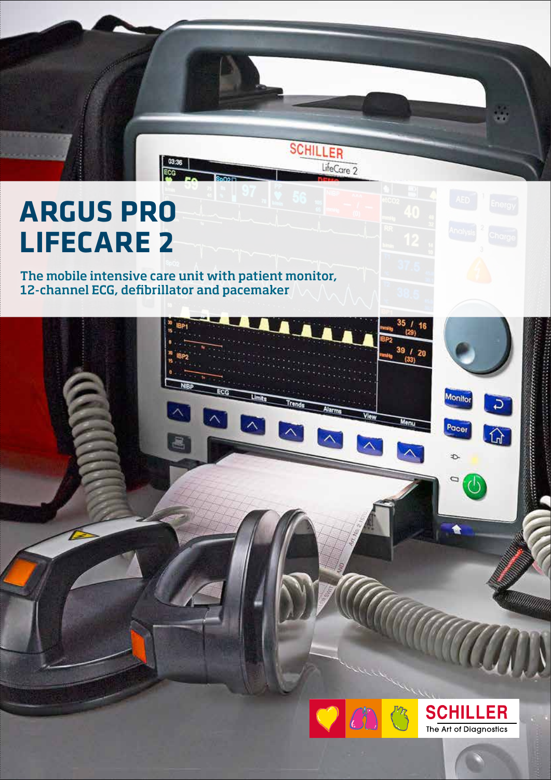# **ARGUS PRO LIFECARE 2**

# The mobile intensive care unit with patient monitor, 12-channel ECG, defibrillator and pacemaker

p,

 $\begin{array}{|c|} \hline 03:36 \\ \hline \text{ECG} \end{array}$ 

**SCHILLER** 

LifeCare 2



35

39

Menu

16

 $\overline{2}$ 

Monitor

Pacer

Đ.

0

in.

*<u><i>CONTRACTORYSTERS CONTRACTORY*</u>

William

C.

 $\Omega$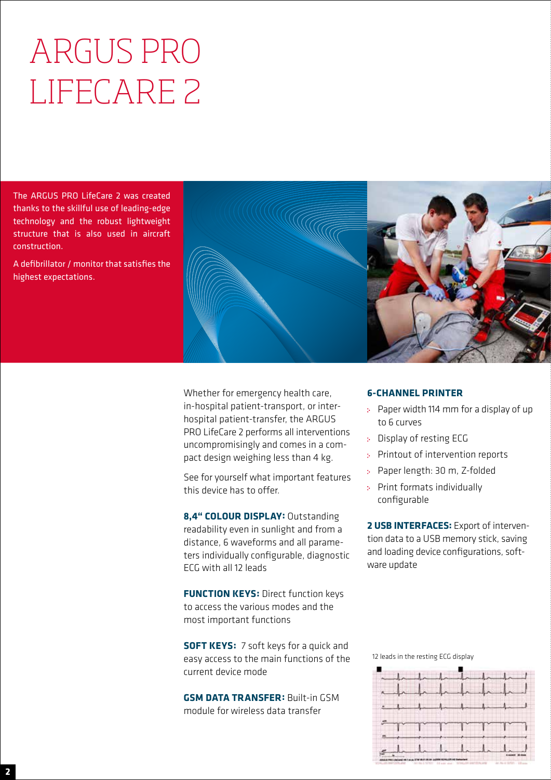# ARGUS PRO LIFECARE 2

The ARGUS PRO LifeCare 2 was created thanks to the skillful use of leading-edge technology and the robust lightweight structure that is also used in aircraft construction.

A defibrillator / monitor that satisfies the highest expectations.



Whether for emergency health care, in-hospital patient-transport, or interhospital patient-transfer, the ARGUS PRO LifeCare 2 performs all interventions uncompromisingly and comes in a compact design weighing less than 4 kg.

See for yourself what important features this device has to offer.

**8,4" COLOUR DISPLAY:** Outstanding readability even in sunlight and from a distance, 6 waveforms and all parameters individually configurable, diagnostic ECG with all 12 leads

**FUNCTION KEYS: Direct function keys** to access the various modes and the most important functions

**SOFT KEYS:** 7 soft keys for a quick and easy access to the main functions of the current device mode

**GSM DATA TRANSFER:** Built-in GSM module for wireless data transfer

## **6-CHANNEL PRINTER**

- Paper width 114 mm for a display of up to 6 curves
- Display of resting ECG
- Printout of intervention reports
- Paper length: 30 m, Z-folded
- Print formats individually configurable

**2 USB INTERFACES:** Export of intervention data to a USB memory stick, saving and loading device configurations, software update

12 leads in the resting ECG display

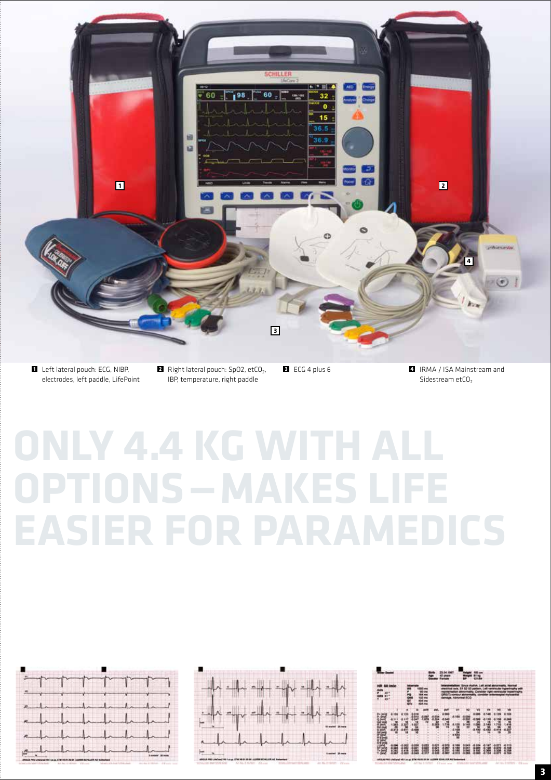

electrodes, left paddle, LifePoint

IBP, temperature, right paddle

Sidestream etCO<sub>2</sub>

# **ONLY 4.4 KG WITH ALL OPTIONS—MAKES LIFE EASIER FOR PARAMEDICS**

| <u>Latin de la partir de la partir de la partir de la partir de la partir de la partir de la partir de la partir </u> |     |                                                   |  |
|-----------------------------------------------------------------------------------------------------------------------|-----|---------------------------------------------------|--|
| $\sim$<br><b>Comment</b>                                                                                              |     | $\frac{1}{2} \frac{1}{2} \frac{1}{2} \frac{1}{2}$ |  |
| endemondered<br>and delivered                                                                                         |     |                                                   |  |
| $\sim$                                                                                                                | $-$ | te,<br>$-12$                                      |  |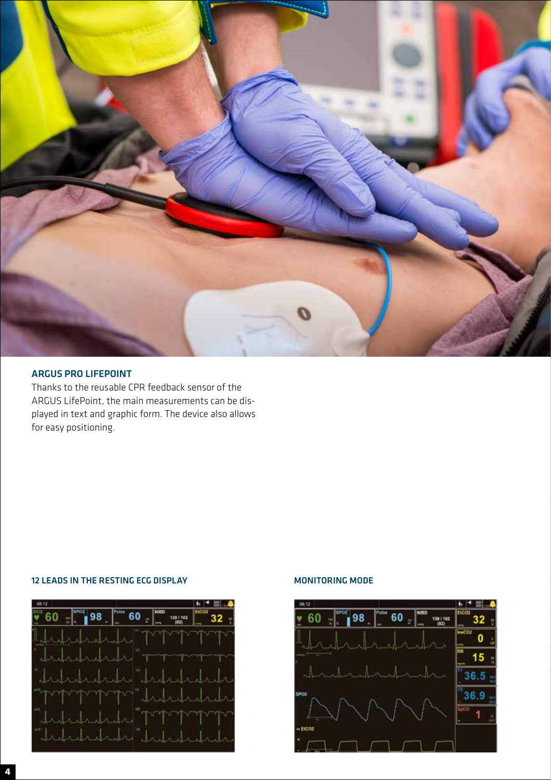

## ARGUS PRO LIFEPOINT

Thanks to the reusable CPR feedback sensor of the ARGUS LifePoint, the main measurements can be displayed in text and graphic form. The device also allows for easy positioning.

### 12 LEADS IN THE RESTING ECG DISPLAY MONITORING MODE

| 08:12            |                      |      |  |        |  |
|------------------|----------------------|------|--|--------|--|
| spos<br><b>.</b> | an<br>Ma<br>98<br>60 | NIND |  | 192.02 |  |
|                  |                      |      |  |        |  |
|                  |                      |      |  | $\sim$ |  |
|                  |                      |      |  |        |  |
|                  |                      |      |  |        |  |
|                  |                      |      |  |        |  |
|                  |                      |      |  |        |  |
|                  |                      |      |  |        |  |

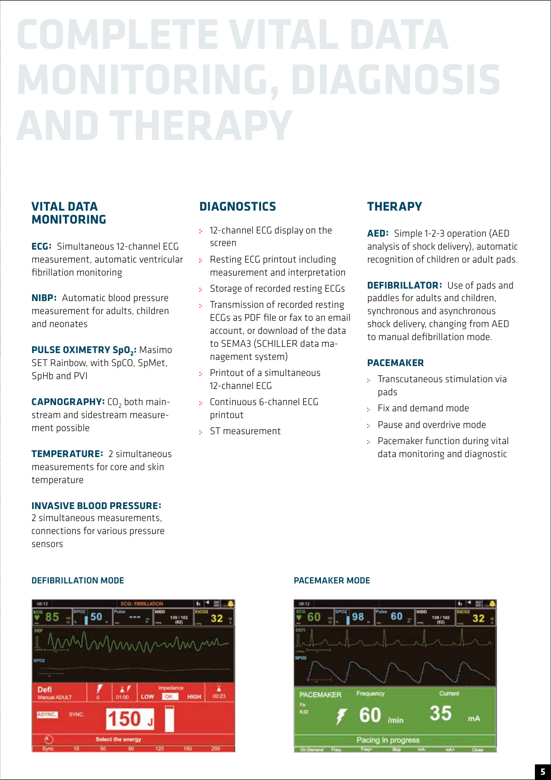# **COMPLETE VITAL DATA MONITORING, DIAGNOSIS AND THERAPY**

## **VITAL DATA MONITORING**

**ECG:** Simultaneous 12-channel ECG measurement, automatic ventricular fibrillation monitoring

**NIBP:** Automatic blood pressure measurement for adults, children and neonates

**PULSE OXIMETRY SpO<sub>2</sub>: Masimo** SET Rainbow, with SpCO, SpMet, SpHb and PVI

**CAPNOGRAPHY:** CO<sub>2</sub> both mainstream and sidestream measurement possible

**TEMPERATURE:** 2 simultaneous measurements for core and skin temperature

## **INVASIVE BLOOD PRESSURE:**

2 simultaneous measurements, connections for various pressure sensors

# **DIAGNOSTICS**

- 12-channel ECG display on the screen
- Resting ECG printout including measurement and interpretation
- Storage of recorded resting ECGs
- : Transmission of recorded resting ECGs as PDF file or fax to an email account, or download of the data to SEMA3 (SCHILLER data management system)
- Printout of a simultaneous 12-channel ECG
- Continuous 6-channel ECG printout
- ST measurement

# **THERAPY**

**AED:** Simple 1-2-3 operation (AED analysis of shock delivery), automatic recognition of children or adult pads.

**DEFIBRILLATOR:** Use of pads and paddles for adults and children, synchronous and asynchronous shock delivery, changing from AED to manual defibrillation mode.

## **PACEMAKER**

- **:** Transcutaneous stimulation via pads
- Fix and demand mode
- Pause and overdrive mode
- Pacemaker function during vital data monitoring and diagnostic

## DEFIBRILLATION MODE PACEMAKER MODE



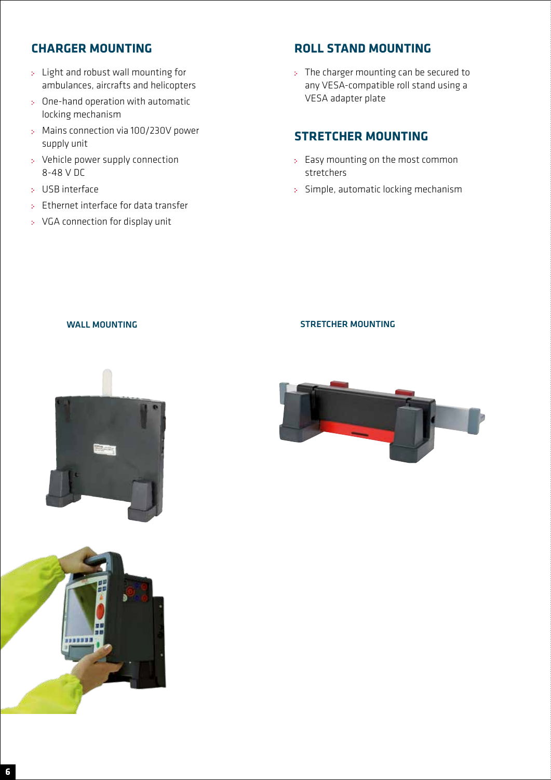# **CHARGER MOUNTING**

- Light and robust wall mounting for ambulances, aircrafts and helicopters
- One-hand operation with automatic locking mechanism
- Mains connection via 100/230V power supply unit
- Vehicle power supply connection 8-48 V DC
- USB interface
- Ethernet interface for data transfer
- VGA connection for display unit

# **ROLL STAND MOUNTING**

The charger mounting can be secured to any VESA-compatible roll stand using a VESA adapter plate

## **STRETCHER MOUNTING**

- : Easy mounting on the most common stretchers
- Simple, automatic locking mechanism

## WALL MOUNTING **STRETCHER MOUNTING**





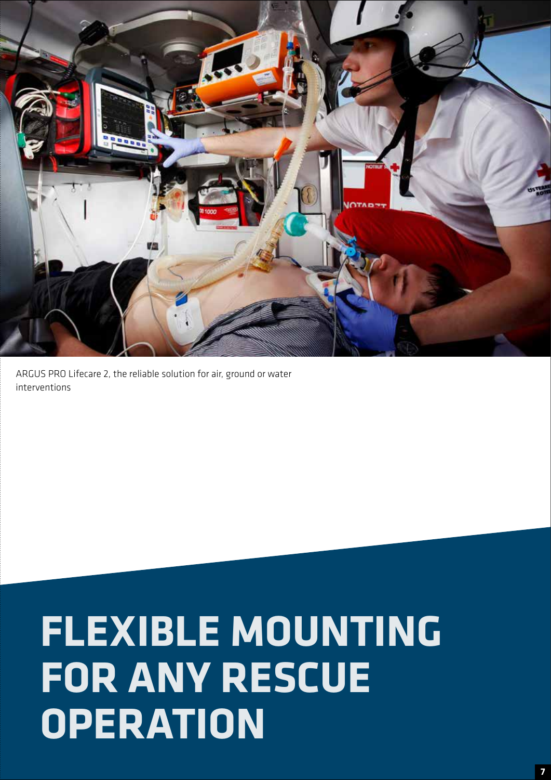

ARGUS PRO Lifecare 2, the reliable solution for air, ground or water interventions

# **FLEXIBLE MOUNTING FOR ANY RESCUE OPERATION**